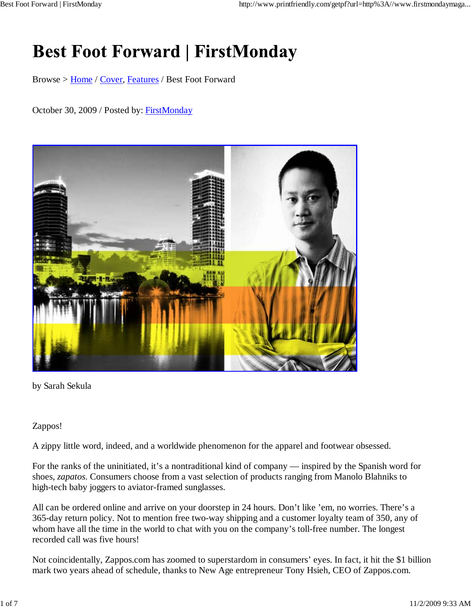# **Best Foot Forward | FirstMonday**

Browse > Home / Cover, Features / Best Foot Forward

## October 30, 2009 / Posted by: FirstMonday



by Sarah Sekula

### Zappos!

A zippy little word, indeed, and a worldwide phenomenon for the apparel and footwear obsessed.

For the ranks of the uninitiated, it's a nontraditional kind of company — inspired by the Spanish word for shoes, *zapatos*. Consumers choose from a vast selection of products ranging from Manolo Blahniks to high-tech baby joggers to aviator-framed sunglasses.

All can be ordered online and arrive on your doorstep in 24 hours. Don't like 'em, no worries. There's a 365-day return policy. Not to mention free two-way shipping and a customer loyalty team of 350, any of whom have all the time in the world to chat with you on the company's toll-free number. The longest recorded call was five hours!

Not coincidentally, Zappos.com has zoomed to superstardom in consumers' eyes. In fact, it hit the \$1 billion mark two years ahead of schedule, thanks to New Age entrepreneur Tony Hsieh, CEO of Zappos.com.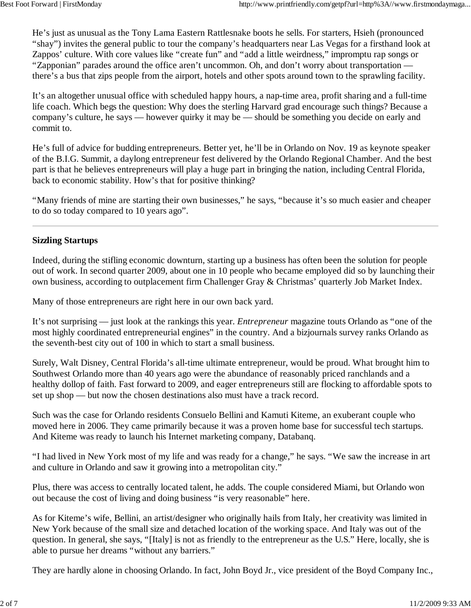He's just as unusual as the Tony Lama Eastern Rattlesnake boots he sells. For starters, Hsieh (pronounced "shay") invites the general public to tour the company's headquarters near Las Vegas for a firsthand look at Zappos' culture. With core values like "create fun" and "add a little weirdness," impromptu rap songs or "Zapponian" parades around the office aren't uncommon. Oh, and don't worry about transportation there's a bus that zips people from the airport, hotels and other spots around town to the sprawling facility.

It's an altogether unusual office with scheduled happy hours, a nap-time area, profit sharing and a full-time life coach. Which begs the question: Why does the sterling Harvard grad encourage such things? Because a company's culture, he says — however quirky it may be — should be something you decide on early and commit to.

He's full of advice for budding entrepreneurs. Better yet, he'll be in Orlando on Nov. 19 as keynote speaker of the B.I.G. Summit, a daylong entrepreneur fest delivered by the Orlando Regional Chamber. And the best part is that he believes entrepreneurs will play a huge part in bringing the nation, including Central Florida, back to economic stability. How's that for positive thinking?

"Many friends of mine are starting their own businesses," he says, "because it's so much easier and cheaper to do so today compared to 10 years ago".

# **Sizzling Startups**

Indeed, during the stifling economic downturn, starting up a business has often been the solution for people out of work. In second quarter 2009, about one in 10 people who became employed did so by launching their own business, according to outplacement firm Challenger Gray & Christmas' quarterly Job Market Index.

Many of those entrepreneurs are right here in our own back yard.

It's not surprising — just look at the rankings this year. *Entrepreneur* magazine touts Orlando as "one of the most highly coordinated entrepreneurial engines" in the country. And a bizjournals survey ranks Orlando as the seventh-best city out of 100 in which to start a small business.

Surely, Walt Disney, Central Florida's all-time ultimate entrepreneur, would be proud. What brought him to Southwest Orlando more than 40 years ago were the abundance of reasonably priced ranchlands and a healthy dollop of faith. Fast forward to 2009, and eager entrepreneurs still are flocking to affordable spots to set up shop — but now the chosen destinations also must have a track record.

Such was the case for Orlando residents Consuelo Bellini and Kamuti Kiteme, an exuberant couple who moved here in 2006. They came primarily because it was a proven home base for successful tech startups. And Kiteme was ready to launch his Internet marketing company, Databanq.

"I had lived in New York most of my life and was ready for a change," he says. "We saw the increase in art and culture in Orlando and saw it growing into a metropolitan city."

Plus, there was access to centrally located talent, he adds. The couple considered Miami, but Orlando won out because the cost of living and doing business "is very reasonable" here.

As for Kiteme's wife, Bellini, an artist/designer who originally hails from Italy, her creativity was limited in New York because of the small size and detached location of the working space. And Italy was out of the question. In general, she says, "[Italy] is not as friendly to the entrepreneur as the U.S." Here, locally, she is able to pursue her dreams "without any barriers."

They are hardly alone in choosing Orlando. In fact, John Boyd Jr., vice president of the Boyd Company Inc.,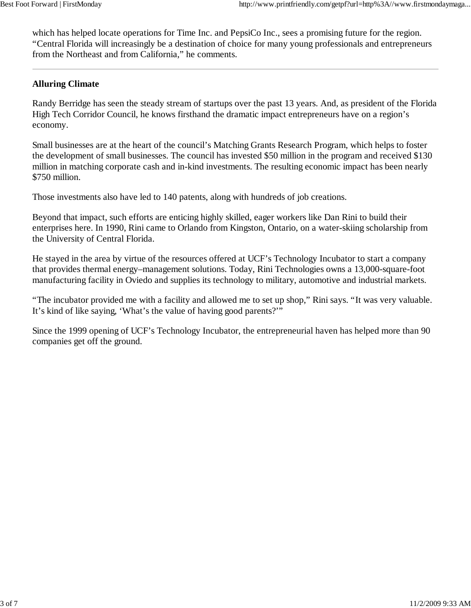which has helped locate operations for Time Inc. and PepsiCo Inc., sees a promising future for the region. "Central Florida will increasingly be a destination of choice for many young professionals and entrepreneurs from the Northeast and from California," he comments.

# **Alluring Climate**

Randy Berridge has seen the steady stream of startups over the past 13 years. And, as president of the Florida High Tech Corridor Council, he knows firsthand the dramatic impact entrepreneurs have on a region's economy.

Small businesses are at the heart of the council's Matching Grants Research Program, which helps to foster the development of small businesses. The council has invested \$50 million in the program and received \$130 million in matching corporate cash and in-kind investments. The resulting economic impact has been nearly \$750 million.

Those investments also have led to 140 patents, along with hundreds of job creations.

Beyond that impact, such efforts are enticing highly skilled, eager workers like Dan Rini to build their enterprises here. In 1990, Rini came to Orlando from Kingston, Ontario, on a water-skiing scholarship from the University of Central Florida.

He stayed in the area by virtue of the resources offered at UCF's Technology Incubator to start a company that provides thermal energy–management solutions. Today, Rini Technologies owns a 13,000-square-foot manufacturing facility in Oviedo and supplies its technology to military, automotive and industrial markets.

"The incubator provided me with a facility and allowed me to set up shop," Rini says. "It was very valuable. It's kind of like saying, 'What's the value of having good parents?'"

Since the 1999 opening of UCF's Technology Incubator, the entrepreneurial haven has helped more than 90 companies get off the ground.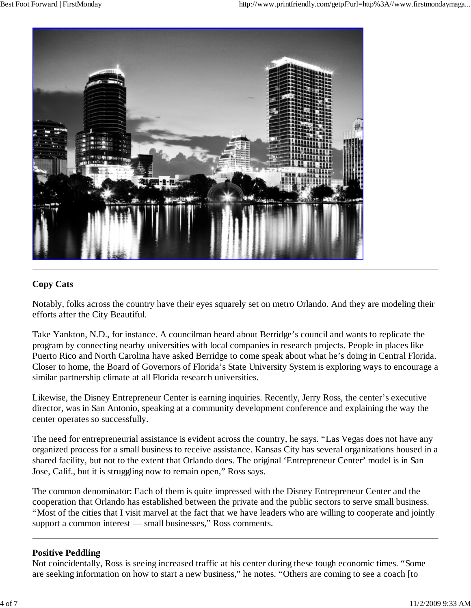

# **Copy Cats**

Notably, folks across the country have their eyes squarely set on metro Orlando. And they are modeling their efforts after the City Beautiful.

Take Yankton, N.D., for instance. A councilman heard about Berridge's council and wants to replicate the program by connecting nearby universities with local companies in research projects. People in places like Puerto Rico and North Carolina have asked Berridge to come speak about what he's doing in Central Florida. Closer to home, the Board of Governors of Florida's State University System is exploring ways to encourage a similar partnership climate at all Florida research universities.

Likewise, the Disney Entrepreneur Center is earning inquiries. Recently, Jerry Ross, the center's executive director, was in San Antonio, speaking at a community development conference and explaining the way the center operates so successfully.

The need for entrepreneurial assistance is evident across the country, he says. "Las Vegas does not have any organized process for a small business to receive assistance. Kansas City has several organizations housed in a shared facility, but not to the extent that Orlando does. The original 'Entrepreneur Center' model is in San Jose, Calif., but it is struggling now to remain open," Ross says.

The common denominator: Each of them is quite impressed with the Disney Entrepreneur Center and the cooperation that Orlando has established between the private and the public sectors to serve small business. "Most of the cities that I visit marvel at the fact that we have leaders who are willing to cooperate and jointly support a common interest — small businesses," Ross comments.

### **Positive Peddling**

Not coincidentally, Ross is seeing increased traffic at his center during these tough economic times. "Some are seeking information on how to start a new business," he notes. "Others are coming to see a coach [to